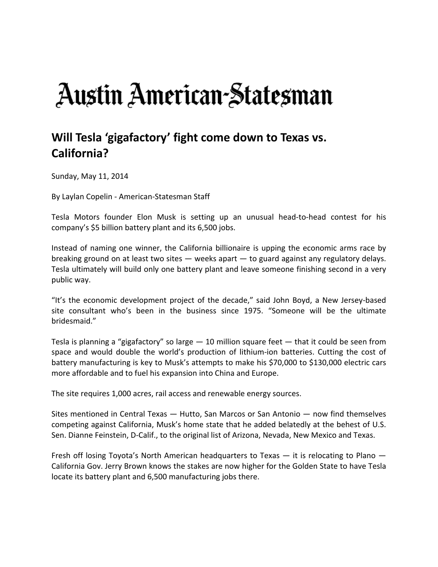## Austin American-Statesman

## **Will Tesla 'gigafactory' fight come down to Texas vs. California?**

Sunday, May 11, 2014

By Laylan Copelin ‐ American‐Statesman Staff

Tesla Motors founder Elon Musk is setting up an unusual head‐to‐head contest for his company's \$5 billion battery plant and its 6,500 jobs.

Instead of naming one winner, the California billionaire is upping the economic arms race by breaking ground on at least two sites — weeks apart — to guard against any regulatory delays. Tesla ultimately will build only one battery plant and leave someone finishing second in a very public way.

"It's the economic development project of the decade," said John Boyd, a New Jersey‐based site consultant who's been in the business since 1975. "Someone will be the ultimate bridesmaid."

Tesla is planning a "gigafactory" so large  $-10$  million square feet  $-$  that it could be seen from space and would double the world's production of lithium-ion batteries. Cutting the cost of battery manufacturing is key to Musk's attempts to make his \$70,000 to \$130,000 electric cars more affordable and to fuel his expansion into China and Europe.

The site requires 1,000 acres, rail access and renewable energy sources.

Sites mentioned in Central Texas — Hutto, San Marcos or San Antonio — now find themselves competing against California, Musk's home state that he added belatedly at the behest of U.S. Sen. Dianne Feinstein, D‐Calif., to the original list of Arizona, Nevada, New Mexico and Texas.

Fresh off losing Toyota's North American headquarters to Texas — it is relocating to Plano — California Gov. Jerry Brown knows the stakes are now higher for the Golden State to have Tesla locate its battery plant and 6,500 manufacturing jobs there.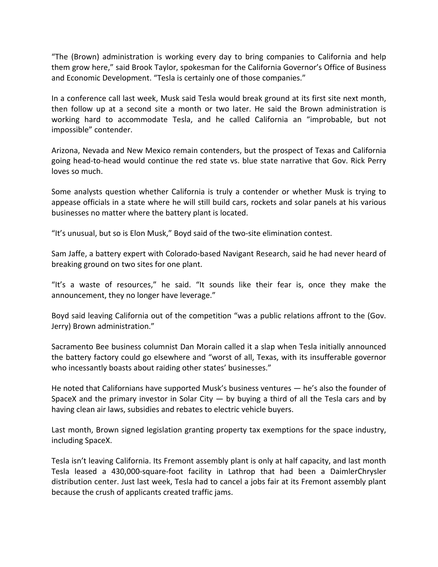"The (Brown) administration is working every day to bring companies to California and help them grow here," said Brook Taylor, spokesman for the California Governor's Office of Business and Economic Development. "Tesla is certainly one of those companies."

In a conference call last week, Musk said Tesla would break ground at its first site next month, then follow up at a second site a month or two later. He said the Brown administration is working hard to accommodate Tesla, and he called California an "improbable, but not impossible" contender.

Arizona, Nevada and New Mexico remain contenders, but the prospect of Texas and California going head‐to‐head would continue the red state vs. blue state narrative that Gov. Rick Perry loves so much.

Some analysts question whether California is truly a contender or whether Musk is trying to appease officials in a state where he will still build cars, rockets and solar panels at his various businesses no matter where the battery plant is located.

"It's unusual, but so is Elon Musk," Boyd said of the two‐site elimination contest.

Sam Jaffe, a battery expert with Colorado‐based Navigant Research, said he had never heard of breaking ground on two sites for one plant.

"It's a waste of resources," he said. "It sounds like their fear is, once they make the announcement, they no longer have leverage."

Boyd said leaving California out of the competition "was a public relations affront to the (Gov. Jerry) Brown administration."

Sacramento Bee business columnist Dan Morain called it a slap when Tesla initially announced the battery factory could go elsewhere and "worst of all, Texas, with its insufferable governor who incessantly boasts about raiding other states' businesses."

He noted that Californians have supported Musk's business ventures — he's also the founder of SpaceX and the primary investor in Solar City  $-$  by buying a third of all the Tesla cars and by having clean air laws, subsidies and rebates to electric vehicle buyers.

Last month, Brown signed legislation granting property tax exemptions for the space industry, including SpaceX.

Tesla isn't leaving California. Its Fremont assembly plant is only at half capacity, and last month Tesla leased a 430,000‐square‐foot facility in Lathrop that had been a DaimlerChrysler distribution center. Just last week, Tesla had to cancel a jobs fair at its Fremont assembly plant because the crush of applicants created traffic jams.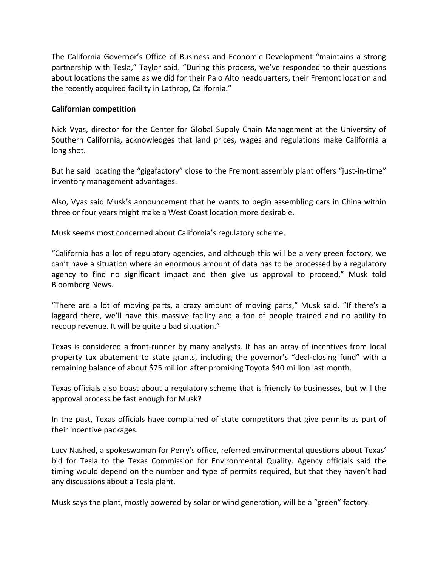The California Governor's Office of Business and Economic Development "maintains a strong partnership with Tesla," Taylor said. "During this process, we've responded to their questions about locations the same as we did for their Palo Alto headquarters, their Fremont location and the recently acquired facility in Lathrop, California."

## **Californian competition**

Nick Vyas, director for the Center for Global Supply Chain Management at the University of Southern California, acknowledges that land prices, wages and regulations make California a long shot.

But he said locating the "gigafactory" close to the Fremont assembly plant offers "just-in-time" inventory management advantages.

Also, Vyas said Musk's announcement that he wants to begin assembling cars in China within three or four years might make a West Coast location more desirable.

Musk seems most concerned about California's regulatory scheme.

"California has a lot of regulatory agencies, and although this will be a very green factory, we can't have a situation where an enormous amount of data has to be processed by a regulatory agency to find no significant impact and then give us approval to proceed," Musk told Bloomberg News.

"There are a lot of moving parts, a crazy amount of moving parts," Musk said. "If there's a laggard there, we'll have this massive facility and a ton of people trained and no ability to recoup revenue. It will be quite a bad situation."

Texas is considered a front‐runner by many analysts. It has an array of incentives from local property tax abatement to state grants, including the governor's "deal‐closing fund" with a remaining balance of about \$75 million after promising Toyota \$40 million last month.

Texas officials also boast about a regulatory scheme that is friendly to businesses, but will the approval process be fast enough for Musk?

In the past, Texas officials have complained of state competitors that give permits as part of their incentive packages.

Lucy Nashed, a spokeswoman for Perry's office, referred environmental questions about Texas' bid for Tesla to the Texas Commission for Environmental Quality. Agency officials said the timing would depend on the number and type of permits required, but that they haven't had any discussions about a Tesla plant.

Musk says the plant, mostly powered by solar or wind generation, will be a "green" factory.